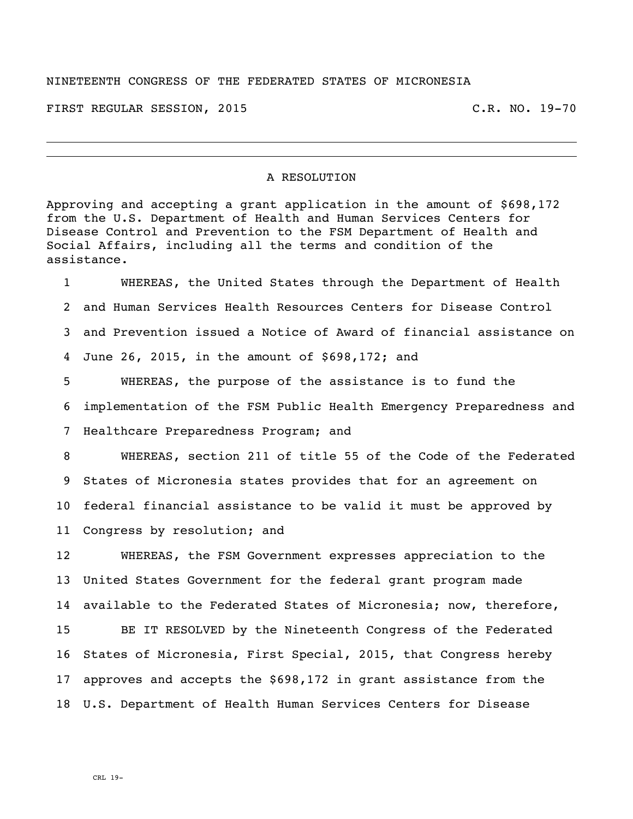## NINETEENTH CONGRESS OF THE FEDERATED STATES OF MICRONESIA

FIRST REGULAR SESSION, 2015 C.R. NO. 19-70

## A RESOLUTION

Approving and accepting a grant application in the amount of \$698,172 from the U.S. Department of Health and Human Services Centers for Disease Control and Prevention to the FSM Department of Health and Social Affairs, including all the terms and condition of the assistance.

 WHEREAS, the United States through the Department of Health and Human Services Health Resources Centers for Disease Control and Prevention issued a Notice of Award of financial assistance on June 26, 2015, in the amount of \$698,172; and WHEREAS, the purpose of the assistance is to fund the

 implementation of the FSM Public Health Emergency Preparedness and Healthcare Preparedness Program; and

 WHEREAS, section 211 of title 55 of the Code of the Federated States of Micronesia states provides that for an agreement on federal financial assistance to be valid it must be approved by Congress by resolution; and

 WHEREAS, the FSM Government expresses appreciation to the United States Government for the federal grant program made available to the Federated States of Micronesia; now, therefore, BE IT RESOLVED by the Nineteenth Congress of the Federated States of Micronesia, First Special, 2015, that Congress hereby approves and accepts the \$698,172 in grant assistance from the U.S. Department of Health Human Services Centers for Disease